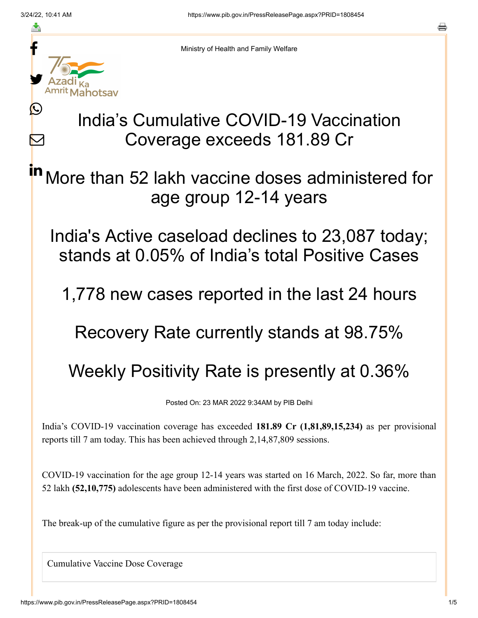≛

 $\bm{\nabla}$ 



Ministry of Health and Family Welfare

## India's Cumulative COVID-19 Vaccination Coverage exceeds 181.89 Cr

More than 52 lakh vaccine doses administered for age group 12-14 years in

India's Active caseload declines to 23,087 today; stands at 0.05% of India's total Positive Cases

1,778 new cases reported in the last 24 hours

Recovery Rate currently stands at 98.75%

Weekly Positivity Rate is presently at 0.36%

Posted On: 23 MAR 2022 9:34AM by PIB Delhi

India's COVID-19 vaccination coverage has exceeded **181.89 Cr (1,81,89,15,234)** as per provisional reports till 7 am today. This has been achieved through 2,14,87,809 sessions.

COVID-19 vaccination for the age group 12-14 years was started on 16 March, 2022. So far, more than 52 lakh **(52,10,775)** adolescents have been administered with the first dose of COVID-19 vaccine.

The break-up of the cumulative figure as per the provisional report till 7 am today include:

Cumulative Vaccine Dose Coverage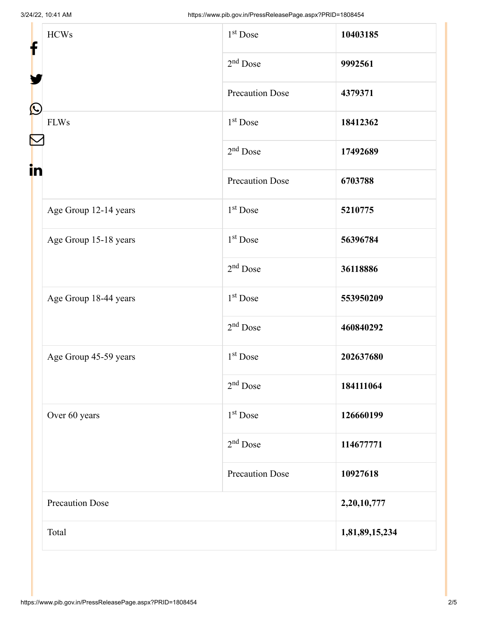| <b>HCWs</b><br>f<br>$\bf \Omega$ | 1 <sup>st</sup> Dose   | 10403185       |
|----------------------------------|------------------------|----------------|
|                                  | $2nd$ Dose             | 9992561        |
|                                  | <b>Precaution Dose</b> | 4379371        |
| <b>FLWs</b><br>in                | $1st$ Dose             | 18412362       |
|                                  | $2nd$ Dose             | 17492689       |
|                                  | <b>Precaution Dose</b> | 6703788        |
| Age Group 12-14 years            | 1 <sup>st</sup> Dose   | 5210775        |
| Age Group 15-18 years            | $1st$ Dose             | 56396784       |
|                                  | $2nd$ Dose             | 36118886       |
| Age Group 18-44 years            | $1st$ Dose             | 553950209      |
|                                  | $2nd$ Dose             | 460840292      |
| Age Group 45-59 years            | 1 <sup>st</sup> Dose   | 202637680      |
|                                  | $2nd$ Dose             | 184111064      |
| Over 60 years                    | $1st$ Dose             | 126660199      |
|                                  | $2nd$ Dose             | 114677771      |
|                                  | <b>Precaution Dose</b> | 10927618       |
| <b>Precaution Dose</b>           |                        | 2,20,10,777    |
| Total                            |                        | 1,81,89,15,234 |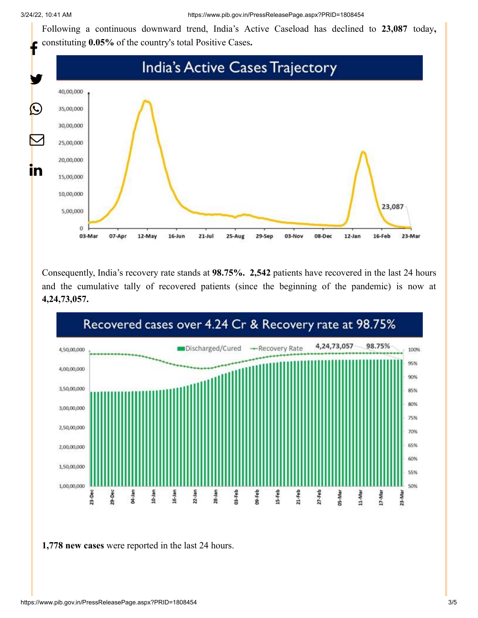Following a continuous downward trend, India's Active Caseload has declined to **23,087** today**,** constituting **0.05%** of the country's total Positive Cases**.**



Consequently, India's recovery rate stands at **98.75%. 2,542** patients have recovered in the last 24 hours and the cumulative tally of recovered patients (since the beginning of the pandemic) is now at **4,24,73,057.**



**1,778 new cases** were reported in the last 24 hours.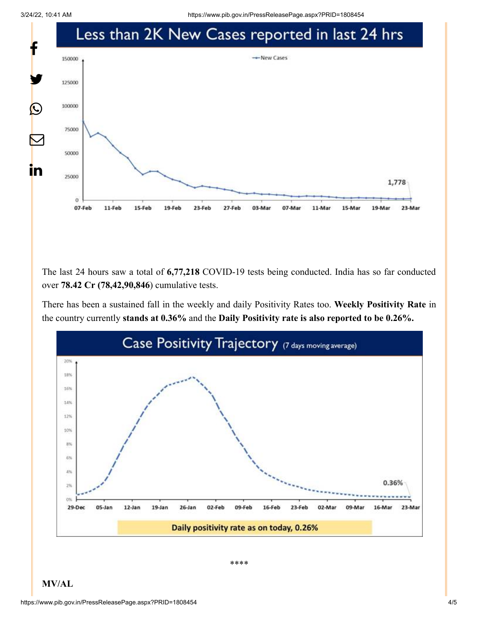3/24/22, 10:41 AM https://www.pib.gov.in/PressReleasePage.aspx?PRID=1808454



The last 24 hours saw a total of **6,77,218** COVID-19 tests being conducted. India has so far conducted over **78.42 Cr (78,42,90,846**) cumulative tests.

There has been a sustained fall in the weekly and daily Positivity Rates too. **Weekly Positivity Rate** in the country currently **stands at 0.36%** and the **Daily Positivity rate is also reported to be 0.26%.**